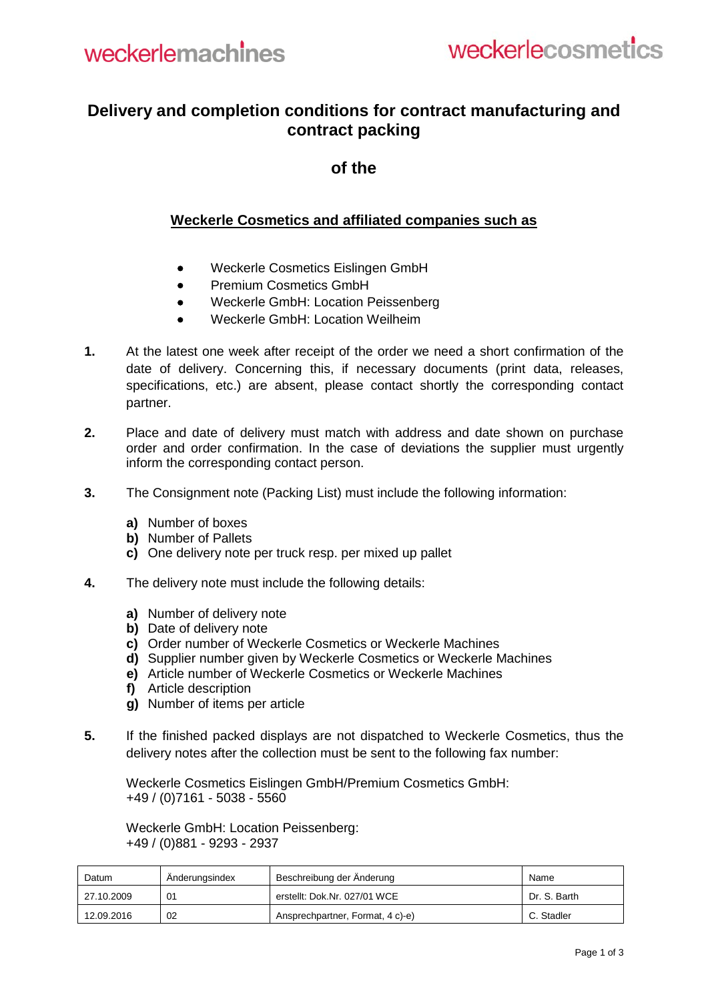## **Delivery and completion conditions for contract manufacturing and contract packing**

## **of the**

## **Weckerle Cosmetics and affiliated companies such as**

- Weckerle Cosmetics Eislingen GmbH
- Premium Cosmetics GmbH
- Weckerle GmbH: Location Peissenberg
- Weckerle GmbH: Location Weilheim
- **1.** At the latest one week after receipt of the order we need a short confirmation of the date of delivery. Concerning this, if necessary documents (print data, releases, specifications, etc.) are absent, please contact shortly the corresponding contact partner.
- **2.** Place and date of delivery must match with address and date shown on purchase order and order confirmation. In the case of deviations the supplier must urgently inform the corresponding contact person.
- **3.** The Consignment note (Packing List) must include the following information:
	- **a)** Number of boxes
	- **b)** Number of Pallets
	- **c)** One delivery note per truck resp. per mixed up pallet
- **4.** The delivery note must include the following details:
	- **a)** Number of delivery note
	- **b)** Date of delivery note
	- **c)** Order number of Weckerle Cosmetics or Weckerle Machines
	- **d)** Supplier number given by Weckerle Cosmetics or Weckerle Machines
	- **e)** Article number of Weckerle Cosmetics or Weckerle Machines
	- **f)** Article description
	- **g)** Number of items per article
- **5.** If the finished packed displays are not dispatched to Weckerle Cosmetics, thus the delivery notes after the collection must be sent to the following fax number:

Weckerle Cosmetics Eislingen GmbH/Premium Cosmetics GmbH: +49 / (0)7161 - 5038 - 5560

Weckerle GmbH: Location Peissenberg: +49 / (0)881 - 9293 - 2937

| Datum      | Anderungsindex | Beschreibung der Änderung        | Name         |
|------------|----------------|----------------------------------|--------------|
| 27.10.2009 | 01             | erstellt: Dok.Nr. 027/01 WCE     | Dr. S. Barth |
| 12.09.2016 | 02             | Ansprechpartner, Format, 4 c)-e) | C. Stadler   |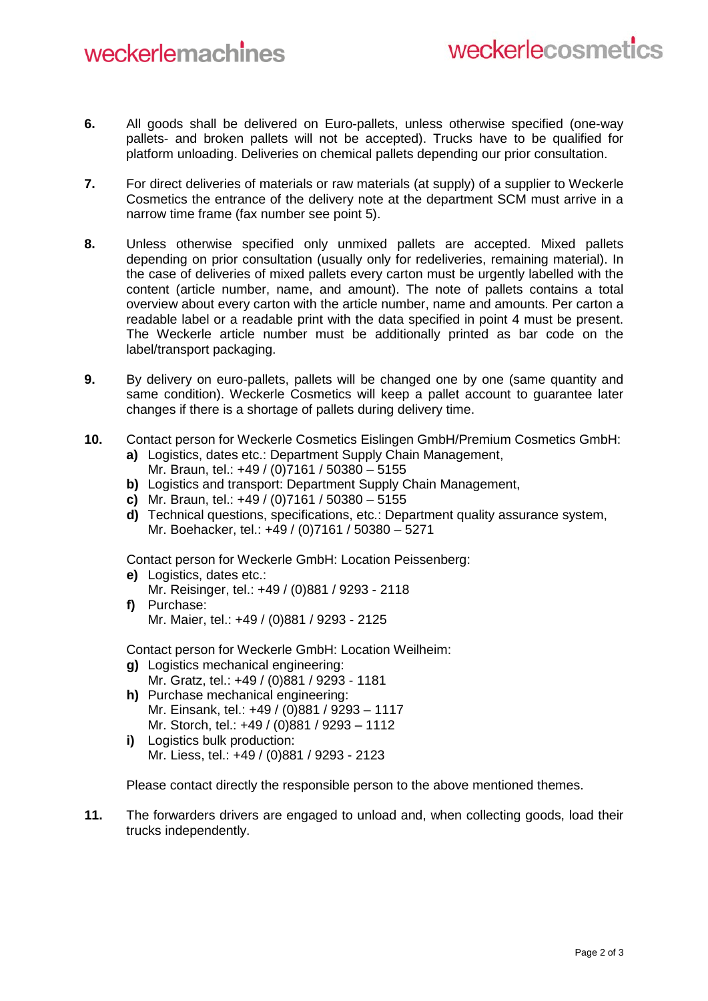- **6.** All goods shall be delivered on Euro-pallets, unless otherwise specified (one-way pallets- and broken pallets will not be accepted). Trucks have to be qualified for platform unloading. Deliveries on chemical pallets depending our prior consultation.
- **7.** For direct deliveries of materials or raw materials (at supply) of a supplier to Weckerle Cosmetics the entrance of the delivery note at the department SCM must arrive in a narrow time frame (fax number see point 5).
- **8.** Unless otherwise specified only unmixed pallets are accepted. Mixed pallets depending on prior consultation (usually only for redeliveries, remaining material). In the case of deliveries of mixed pallets every carton must be urgently labelled with the content (article number, name, and amount). The note of pallets contains a total overview about every carton with the article number, name and amounts. Per carton a readable label or a readable print with the data specified in point 4 must be present. The Weckerle article number must be additionally printed as bar code on the label/transport packaging.
- **9.** By delivery on euro-pallets, pallets will be changed one by one (same quantity and same condition). Weckerle Cosmetics will keep a pallet account to guarantee later changes if there is a shortage of pallets during delivery time.
- **10.** Contact person for Weckerle Cosmetics Eislingen GmbH/Premium Cosmetics GmbH:
	- **a)** Logistics, dates etc.: Department Supply Chain Management, Mr. Braun, tel.: +49 / (0)7161 / 50380 – 5155
	- **b)** Logistics and transport: Department Supply Chain Management,
	- **c)** Mr. Braun, tel.: +49 / (0)7161 / 50380 5155
	- **d)** Technical questions, specifications, etc.: Department quality assurance system, Mr. Boehacker, tel.: +49 / (0)7161 / 50380 – 5271

Contact person for Weckerle GmbH: Location Peissenberg:

- **e)** Logistics, dates etc.: Mr. Reisinger, tel.: +49 / (0)881 / 9293 - 2118
- **f)** Purchase: Mr. Maier, tel.: +49 / (0)881 / 9293 - 2125

Contact person for Weckerle GmbH: Location Weilheim:

- **g)** Logistics mechanical engineering: Mr. Gratz, tel.: +49 / (0)881 / 9293 - 1181
- **h)** Purchase mechanical engineering: Mr. Einsank, tel.: +49 / (0)881 / 9293 – 1117 Mr. Storch, tel.: +49 / (0)881 / 9293 – 1112
- **i)** Logistics bulk production: Mr. Liess, tel.: +49 / (0)881 / 9293 - 2123

Please contact directly the responsible person to the above mentioned themes.

**11.** The forwarders drivers are engaged to unload and, when collecting goods, load their trucks independently.